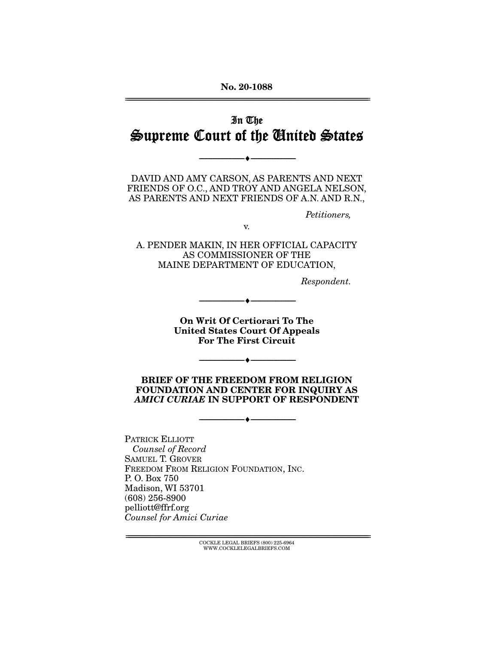**No. 20-1088**  ================================================================================================================

# In The Supreme Court of the United States

--------------------------------- ♦ ---------------------------------

DAVID AND AMY CARSON, AS PARENTS AND NEXT FRIENDS OF O.C., AND TROY AND ANGELA NELSON, AS PARENTS AND NEXT FRIENDS OF A.N. AND R.N.,

Petitioners,

v.

A. PENDER MAKIN, IN HER OFFICIAL CAPACITY AS COMMISSIONER OF THE MAINE DEPARTMENT OF EDUCATION,

Respondent.

**On Writ Of Certiorari To The United States Court Of Appeals For The First Circuit** 

--------------------------------- ♦ ---------------------------------

**BRIEF OF THE FREEDOM FROM RELIGION FOUNDATION AND CENTER FOR INQUIRY AS**  *AMICI CURIAE* **IN SUPPORT OF RESPONDENT** 

--------------------------------- ♦ ---------------------------------

--------------------------------- ♦ ---------------------------------

PATRICK ELLIOTT Counsel of Record SAMUEL T. GROVER FREEDOM FROM RELIGION FOUNDATION, INC. P. O. Box 750 Madison, WI 53701 (608) 256-8900 pelliott@ffrf.org Counsel for Amici Curiae

> $\text{COCKLE LEGAL BRIEFS}$  (800) 225-6964 WWW.COCKLELEGALBRIEFS.COM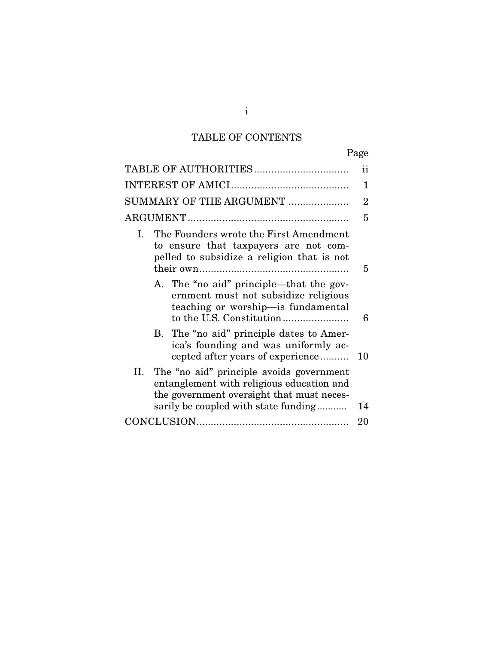# TABLE OF CONTENTS

|--|

|                                                                                                                                                                                   | ii |  |  |  |  |
|-----------------------------------------------------------------------------------------------------------------------------------------------------------------------------------|----|--|--|--|--|
|                                                                                                                                                                                   |    |  |  |  |  |
| SUMMARY OF THE ARGUMENT                                                                                                                                                           |    |  |  |  |  |
|                                                                                                                                                                                   |    |  |  |  |  |
| The Founders wrote the First Amendment<br>L<br>to ensure that taxpayers are not com-<br>pelled to subsidize a religion that is not                                                | 5  |  |  |  |  |
| A. The "no aid" principle—that the gov-<br>ernment must not subsidize religious<br>teaching or worship-is fundamental                                                             | 6  |  |  |  |  |
| B. The "no aid" principle dates to Amer-<br>ica's founding and was uniformly ac-<br>cepted after years of experience                                                              | 10 |  |  |  |  |
| The "no aid" principle avoids government<br>II.<br>entanglement with religious education and<br>the government oversight that must neces-<br>sarily be coupled with state funding | 14 |  |  |  |  |
|                                                                                                                                                                                   | 20 |  |  |  |  |

i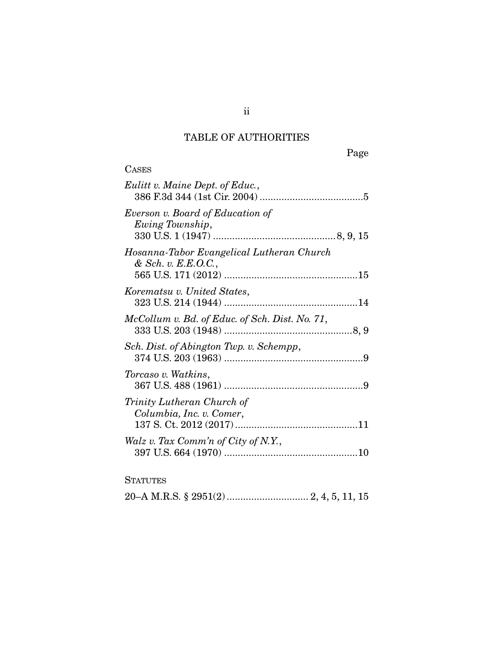### TABLE OF AUTHORITIES

Page

| <b>CASES</b>                                                       |
|--------------------------------------------------------------------|
| Eulitt v. Maine Dept. of Educ.,                                    |
| Everson v. Board of Education of<br>Ewing Township,                |
| Hosanna-Tabor Evangelical Lutheran Church<br>$&$ Sch. v. E.E.O.C., |
| Korematsu v. United States,                                        |
| McCollum v. Bd. of Educ. of Sch. Dist. No. 71,                     |
| Sch. Dist. of Abington Twp. v. Schempp,                            |
| Torcaso v. Watkins,                                                |
| Trinity Lutheran Church of<br>Columbia, Inc. v. Comer,             |
| Walz v. Tax Comm'n of City of N.Y.,                                |
| <b>STATUTES</b>                                                    |

20–A M.R.S. § 2951(2) .............................. 2, 4, 5, 11, 15

ii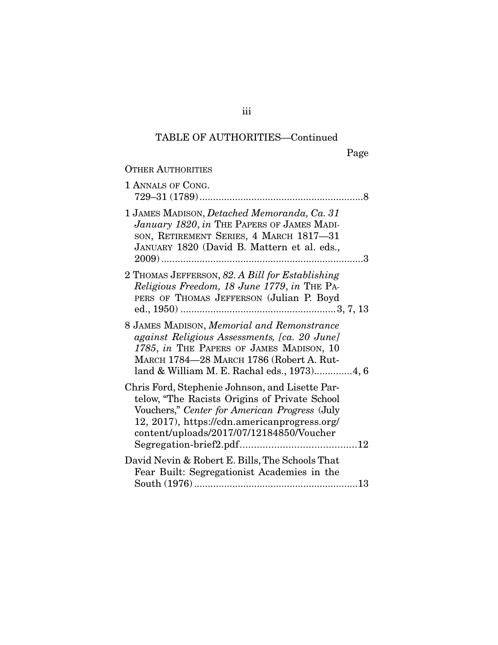# TABLE OF AUTHORITIES—Continued

OTHER AUTHORITIES

| 1 ANNALS OF CONG.                                                                                                                                                                                                                             |
|-----------------------------------------------------------------------------------------------------------------------------------------------------------------------------------------------------------------------------------------------|
| 1 JAMES MADISON, Detached Memoranda, Ca. 31<br>January 1820, in THE PAPERS OF JAMES MADI-<br>SON, RETIREMENT SERIES, 4 MARCH 1817-31<br>JANUARY 1820 (David B. Mattern et al. eds.,                                                           |
| 2 THOMAS JEFFERSON, 82. A Bill for Establishing<br>Religious Freedom, 18 June 1779, in THE PA-<br>PERS OF THOMAS JEFFERSON (Julian P. Boyd                                                                                                    |
| 8 JAMES MADISON, Memorial and Remonstrance<br>against Religious Assessments, [ca. 20 June]<br>1785, in THE PAPERS OF JAMES MADISON, 10<br>MARCH 1784-28 MARCH 1786 (Robert A. Rut-<br>land & William M. E. Rachal eds., 1973)4, 6             |
| Chris Ford, Stephenie Johnson, and Lisette Par-<br>telow, "The Racists Origins of Private School<br>Vouchers," Center for American Progress (July<br>12, 2017), https://cdn.americanprogress.org/<br>content/uploads/2017/07/12184850/Voucher |
| David Nevin & Robert E. Bills, The Schools That<br>Fear Built: Segregationist Academies in the                                                                                                                                                |

iii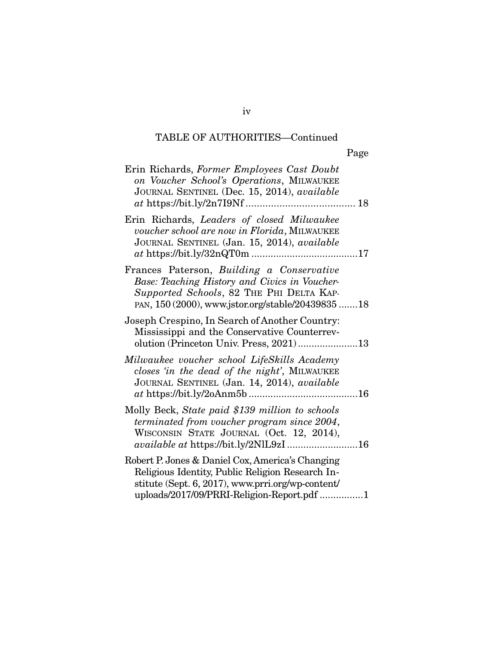### TABLE OF AUTHORITIES—Continued

| ۰, |
|----|
|----|

| Erin Richards, Former Employees Cast Doubt<br>on Voucher School's Operations, MILWAUKEE<br>JOURNAL SENTINEL (Dec. 15, 2014), available<br>18                                                            |  |
|---------------------------------------------------------------------------------------------------------------------------------------------------------------------------------------------------------|--|
| Erin Richards, Leaders of closed Milwaukee<br>voucher school are now in Florida, MILWAUKEE<br>JOURNAL SENTINEL (Jan. 15, 2014), available                                                               |  |
| Frances Paterson, Building a Conservative<br>Base: Teaching History and Civics in Voucher-<br>Supported Schools, 82 THE PHI DELTA KAP-<br>PAN, 150 (2000), www.jstor.org/stable/20439835 18             |  |
| Joseph Crespino, In Search of Another Country:<br>Mississippi and the Conservative Counterrev-<br>olution (Princeton Univ. Press, 2021)13                                                               |  |
| Milwaukee voucher school LifeSkills Academy<br>closes 'in the dead of the night', MILWAUKEE<br>JOURNAL SENTINEL (Jan. 14, 2014), available                                                              |  |
| Molly Beck, State paid \$139 million to schools<br>terminated from voucher program since 2004,<br>WISCONSIN STATE JOURNAL (Oct. 12, 2014),<br>available at https://bit.ly/2NlL9zI 16                    |  |
| Robert P. Jones & Daniel Cox, America's Changing<br>Religious Identity, Public Religion Research In-<br>stitute (Sept. 6, 2017), www.prri.org/wp-content/<br>uploads/2017/09/PRRI-Religion-Report.pdf 1 |  |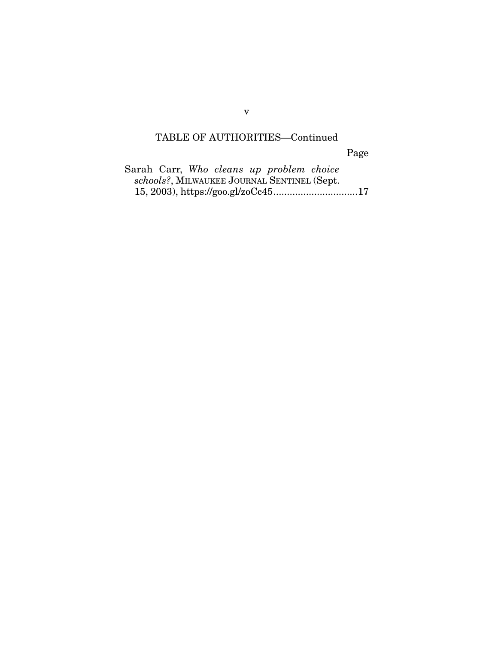# TABLE OF AUTHORITIES—Continued

Page

|  |  | Sarah Carr, Who cleans up problem choice    |  |
|--|--|---------------------------------------------|--|
|  |  | schools?, MILWAUKEE JOURNAL SENTINEL (Sept. |  |
|  |  |                                             |  |

v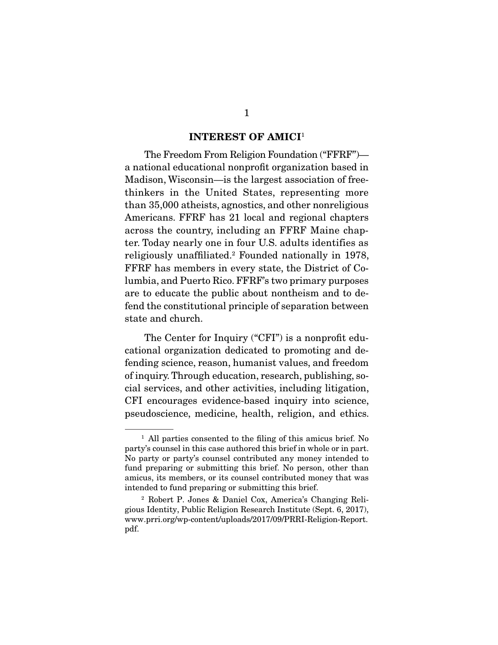#### **INTEREST OF AMICI**<sup>1</sup>

 The Freedom From Religion Foundation ("FFRF") a national educational nonprofit organization based in Madison, Wisconsin—is the largest association of freethinkers in the United States, representing more than 35,000 atheists, agnostics, and other nonreligious Americans. FFRF has 21 local and regional chapters across the country, including an FFRF Maine chapter. Today nearly one in four U.S. adults identifies as religiously unaffiliated.2 Founded nationally in 1978, FFRF has members in every state, the District of Columbia, and Puerto Rico. FFRF's two primary purposes are to educate the public about nontheism and to defend the constitutional principle of separation between state and church.

 The Center for Inquiry ("CFI") is a nonprofit educational organization dedicated to promoting and defending science, reason, humanist values, and freedom of inquiry. Through education, research, publishing, social services, and other activities, including litigation, CFI encourages evidence-based inquiry into science, pseudoscience, medicine, health, religion, and ethics.

<sup>&</sup>lt;sup>1</sup> All parties consented to the filing of this amicus brief. No party's counsel in this case authored this brief in whole or in part. No party or party's counsel contributed any money intended to fund preparing or submitting this brief. No person, other than amicus, its members, or its counsel contributed money that was intended to fund preparing or submitting this brief.

<sup>2</sup> Robert P. Jones & Daniel Cox, America's Changing Religious Identity, Public Religion Research Institute (Sept. 6, 2017), www.prri.org/wp-content/uploads/2017/09/PRRI-Religion-Report. pdf.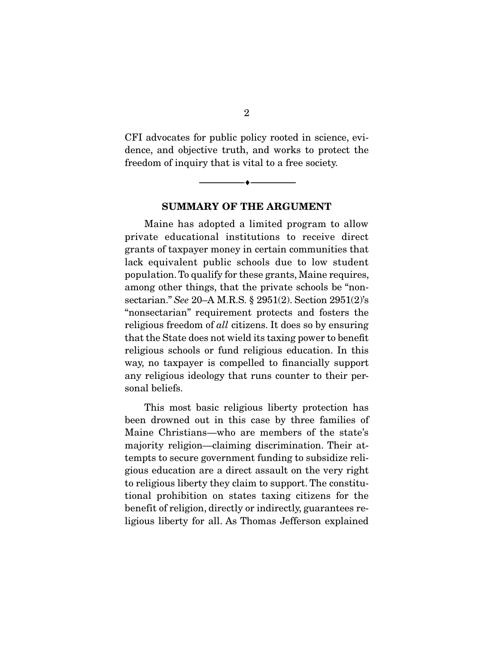CFI advocates for public policy rooted in science, evidence, and objective truth, and works to protect the freedom of inquiry that is vital to a free society.

### **SUMMARY OF THE ARGUMENT**

--------------------------------- ♦ ---------------------------------

 Maine has adopted a limited program to allow private educational institutions to receive direct grants of taxpayer money in certain communities that lack equivalent public schools due to low student population. To qualify for these grants, Maine requires, among other things, that the private schools be "nonsectarian." See 20–A M.R.S. § 2951(2). Section 2951(2)'s "nonsectarian" requirement protects and fosters the religious freedom of all citizens. It does so by ensuring that the State does not wield its taxing power to benefit religious schools or fund religious education. In this way, no taxpayer is compelled to financially support any religious ideology that runs counter to their personal beliefs.

 This most basic religious liberty protection has been drowned out in this case by three families of Maine Christians—who are members of the state's majority religion—claiming discrimination. Their attempts to secure government funding to subsidize religious education are a direct assault on the very right to religious liberty they claim to support. The constitutional prohibition on states taxing citizens for the benefit of religion, directly or indirectly, guarantees religious liberty for all. As Thomas Jefferson explained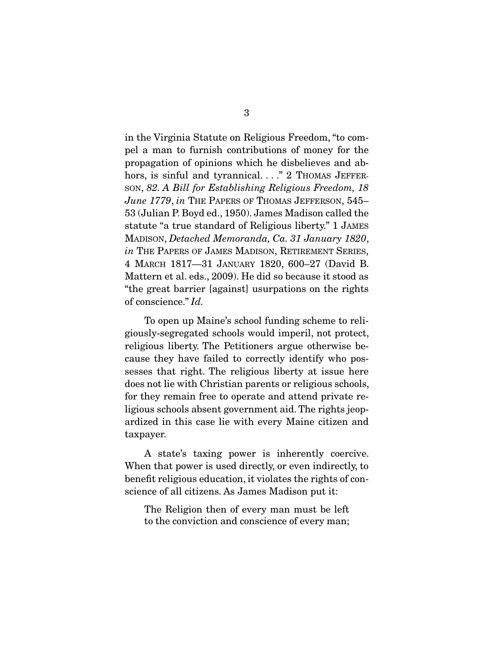in the Virginia Statute on Religious Freedom, "to compel a man to furnish contributions of money for the propagation of opinions which he disbelieves and abhors, is sinful and tyrannical. . . " 2 THOMAS JEFFER-SON, 82. A Bill for Establishing Religious Freedom, 18 June 1779, in THE PAPERS OF THOMAS JEFFERSON, 545-53 (Julian P. Boyd ed., 1950). James Madison called the statute "a true standard of Religious liberty." 1 JAMES MADISON, Detached Memoranda, Ca. 31 January 1820, in The Papers of James Madison, Retirement Series, 4 MARCH 1817—31 JANUARY 1820, 600–27 (David B. Mattern et al. eds., 2009). He did so because it stood as "the great barrier [against] usurpations on the rights of conscience." Id.

 To open up Maine's school funding scheme to religiously-segregated schools would imperil, not protect, religious liberty. The Petitioners argue otherwise because they have failed to correctly identify who possesses that right. The religious liberty at issue here does not lie with Christian parents or religious schools, for they remain free to operate and attend private religious schools absent government aid. The rights jeopardized in this case lie with every Maine citizen and taxpayer.

 A state's taxing power is inherently coercive. When that power is used directly, or even indirectly, to benefit religious education, it violates the rights of conscience of all citizens. As James Madison put it:

The Religion then of every man must be left to the conviction and conscience of every man;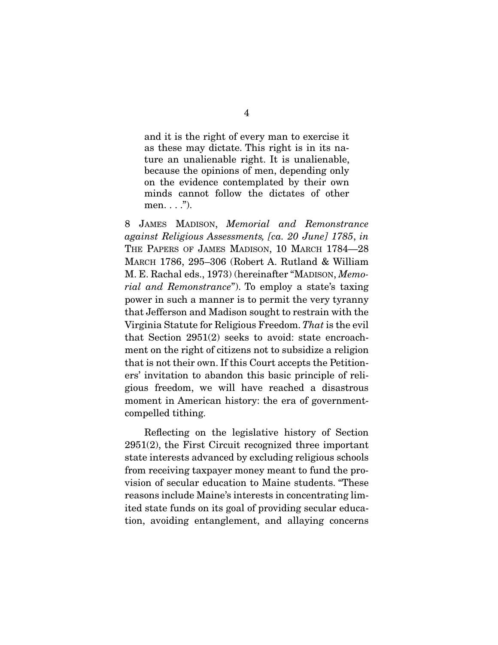and it is the right of every man to exercise it as these may dictate. This right is in its nature an unalienable right. It is unalienable, because the opinions of men, depending only on the evidence contemplated by their own minds cannot follow the dictates of other men.  $\ldots$ ").

8 JAMES MADISON, Memorial and Remonstrance against Religious Assessments, [ca. 20 June] 1785, in THE PAPERS OF JAMES MADISON, 10 MARCH 1784-28 MARCH 1786, 295–306 (Robert A. Rutland & William M. E. Rachal eds., 1973) (hereinafter "MADISON, Memorial and Remonstrance"). To employ a state's taxing power in such a manner is to permit the very tyranny that Jefferson and Madison sought to restrain with the Virginia Statute for Religious Freedom. That is the evil that Section 2951(2) seeks to avoid: state encroachment on the right of citizens not to subsidize a religion that is not their own. If this Court accepts the Petitioners' invitation to abandon this basic principle of religious freedom, we will have reached a disastrous moment in American history: the era of governmentcompelled tithing.

 Reflecting on the legislative history of Section 2951(2), the First Circuit recognized three important state interests advanced by excluding religious schools from receiving taxpayer money meant to fund the provision of secular education to Maine students. "These reasons include Maine's interests in concentrating limited state funds on its goal of providing secular education, avoiding entanglement, and allaying concerns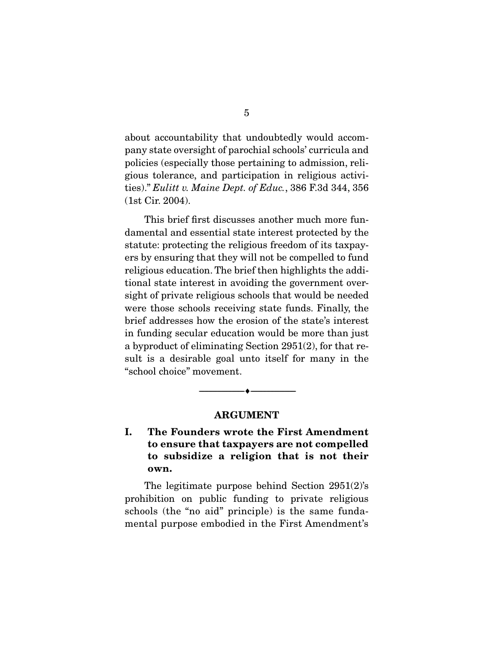about accountability that undoubtedly would accompany state oversight of parochial schools' curricula and policies (especially those pertaining to admission, religious tolerance, and participation in religious activities)." Eulitt v. Maine Dept. of Educ., 386 F.3d 344, 356 (1st Cir. 2004).

 This brief first discusses another much more fundamental and essential state interest protected by the statute: protecting the religious freedom of its taxpayers by ensuring that they will not be compelled to fund religious education. The brief then highlights the additional state interest in avoiding the government oversight of private religious schools that would be needed were those schools receiving state funds. Finally, the brief addresses how the erosion of the state's interest in funding secular education would be more than just a byproduct of eliminating Section 2951(2), for that result is a desirable goal unto itself for many in the "school choice" movement.

#### **ARGUMENT**

--------------------------------- ♦ ---------------------------------

**I. The Founders wrote the First Amendment to ensure that taxpayers are not compelled to subsidize a religion that is not their own.** 

 The legitimate purpose behind Section 2951(2)'s prohibition on public funding to private religious schools (the "no aid" principle) is the same fundamental purpose embodied in the First Amendment's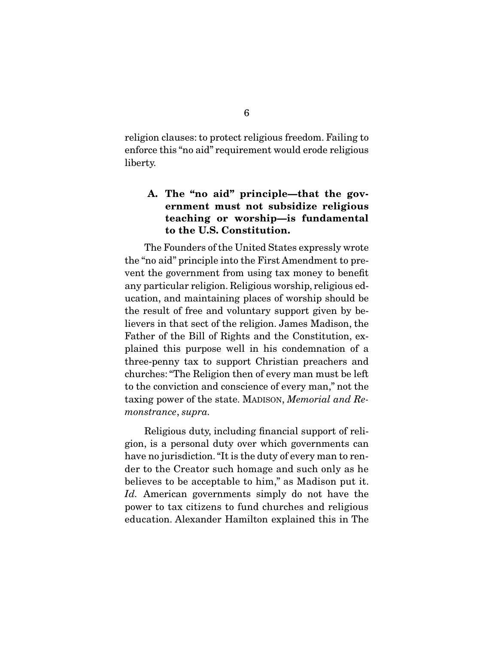religion clauses: to protect religious freedom. Failing to enforce this "no aid" requirement would erode religious liberty.

### **A. The "no aid" principle—that the government must not subsidize religious teaching or worship—is fundamental to the U.S. Constitution.**

 The Founders of the United States expressly wrote the "no aid" principle into the First Amendment to prevent the government from using tax money to benefit any particular religion. Religious worship, religious education, and maintaining places of worship should be the result of free and voluntary support given by believers in that sect of the religion. James Madison, the Father of the Bill of Rights and the Constitution, explained this purpose well in his condemnation of a three-penny tax to support Christian preachers and churches: "The Religion then of every man must be left to the conviction and conscience of every man," not the taxing power of the state. MADISON, Memorial and Remonstrance, supra.

 Religious duty, including financial support of religion, is a personal duty over which governments can have no jurisdiction. "It is the duty of every man to render to the Creator such homage and such only as he believes to be acceptable to him," as Madison put it. Id. American governments simply do not have the power to tax citizens to fund churches and religious education. Alexander Hamilton explained this in The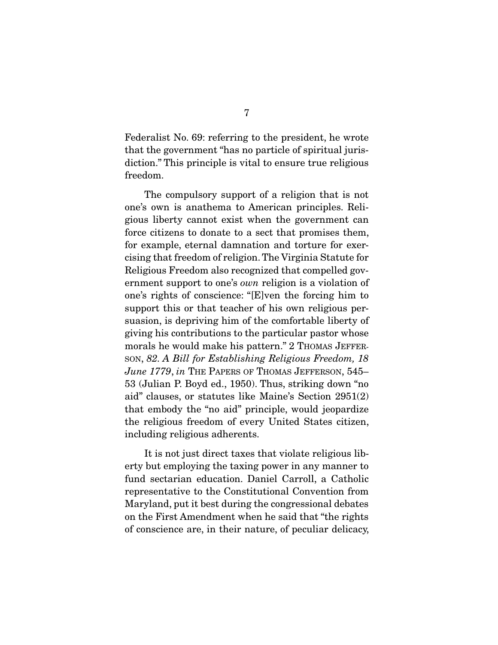Federalist No. 69: referring to the president, he wrote that the government "has no particle of spiritual jurisdiction." This principle is vital to ensure true religious freedom.

 The compulsory support of a religion that is not one's own is anathema to American principles. Religious liberty cannot exist when the government can force citizens to donate to a sect that promises them, for example, eternal damnation and torture for exercising that freedom of religion. The Virginia Statute for Religious Freedom also recognized that compelled government support to one's own religion is a violation of one's rights of conscience: "[E]ven the forcing him to support this or that teacher of his own religious persuasion, is depriving him of the comfortable liberty of giving his contributions to the particular pastor whose morals he would make his pattern." 2 THOMAS JEFFER-SON, 82. A Bill for Establishing Religious Freedom, 18 June 1779, in THE PAPERS OF THOMAS JEFFERSON, 545-53 (Julian P. Boyd ed., 1950). Thus, striking down "no aid" clauses, or statutes like Maine's Section 2951(2) that embody the "no aid" principle, would jeopardize the religious freedom of every United States citizen, including religious adherents.

 It is not just direct taxes that violate religious liberty but employing the taxing power in any manner to fund sectarian education. Daniel Carroll, a Catholic representative to the Constitutional Convention from Maryland, put it best during the congressional debates on the First Amendment when he said that "the rights of conscience are, in their nature, of peculiar delicacy,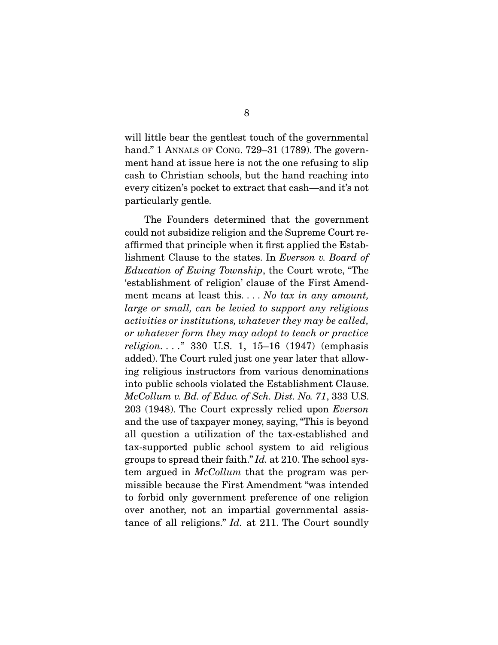will little bear the gentlest touch of the governmental hand." 1 ANNALS OF CONG. 729–31 (1789). The government hand at issue here is not the one refusing to slip cash to Christian schools, but the hand reaching into every citizen's pocket to extract that cash—and it's not particularly gentle.

 The Founders determined that the government could not subsidize religion and the Supreme Court reaffirmed that principle when it first applied the Establishment Clause to the states. In Everson v. Board of Education of Ewing Township, the Court wrote, "The 'establishment of religion' clause of the First Amendment means at least this... No tax in any amount, large or small, can be levied to support any religious activities or institutions, whatever they may be called, or whatever form they may adopt to teach or practice religion. . . ." 330 U.S. 1, 15–16 (1947) (emphasis added). The Court ruled just one year later that allowing religious instructors from various denominations into public schools violated the Establishment Clause. McCollum v. Bd. of Educ. of Sch. Dist. No. 71, 333 U.S. 203 (1948). The Court expressly relied upon Everson and the use of taxpayer money, saying, "This is beyond all question a utilization of the tax-established and tax-supported public school system to aid religious groups to spread their faith." Id. at 210. The school system argued in *McCollum* that the program was permissible because the First Amendment "was intended to forbid only government preference of one religion over another, not an impartial governmental assistance of all religions." Id. at 211. The Court soundly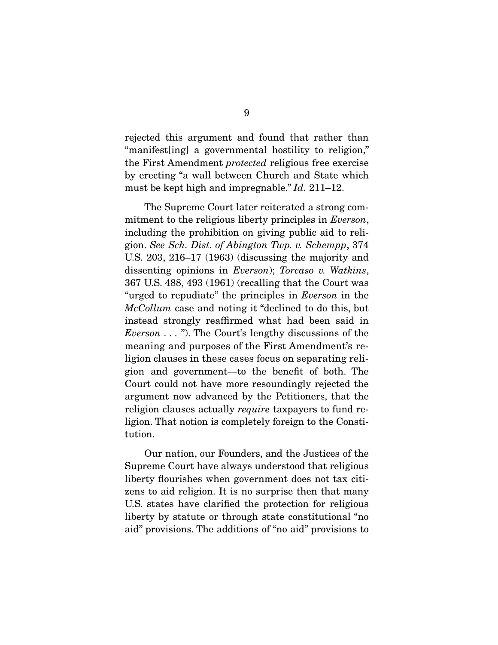rejected this argument and found that rather than "manifest[ing] a governmental hostility to religion," the First Amendment protected religious free exercise by erecting "a wall between Church and State which must be kept high and impregnable." *Id.* 211–12.

 The Supreme Court later reiterated a strong commitment to the religious liberty principles in *Everson*, including the prohibition on giving public aid to religion. See Sch. Dist. of Abington Twp. v. Schempp, 374 U.S. 203, 216–17 (1963) (discussing the majority and dissenting opinions in *Everson*); Torcaso v. Watkins, 367 U.S. 488, 493 (1961) (recalling that the Court was "urged to repudiate" the principles in Everson in the McCollum case and noting it "declined to do this, but instead strongly reaffirmed what had been said in Everson  $\dots$ "). The Court's lengthy discussions of the meaning and purposes of the First Amendment's religion clauses in these cases focus on separating religion and government—to the benefit of both. The Court could not have more resoundingly rejected the argument now advanced by the Petitioners, that the religion clauses actually *require* taxpayers to fund religion. That notion is completely foreign to the Constitution.

 Our nation, our Founders, and the Justices of the Supreme Court have always understood that religious liberty flourishes when government does not tax citizens to aid religion. It is no surprise then that many U.S. states have clarified the protection for religious liberty by statute or through state constitutional "no aid" provisions. The additions of "no aid" provisions to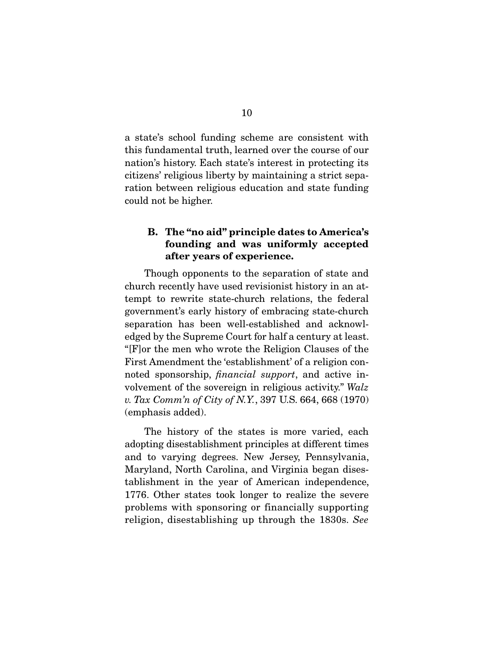a state's school funding scheme are consistent with this fundamental truth, learned over the course of our nation's history. Each state's interest in protecting its citizens' religious liberty by maintaining a strict separation between religious education and state funding could not be higher.

### **B. The "no aid" principle dates to America's founding and was uniformly accepted after years of experience.**

 Though opponents to the separation of state and church recently have used revisionist history in an attempt to rewrite state-church relations, the federal government's early history of embracing state-church separation has been well-established and acknowledged by the Supreme Court for half a century at least. "[F]or the men who wrote the Religion Clauses of the First Amendment the 'establishment' of a religion connoted sponsorship, financial support, and active involvement of the sovereign in religious activity." Walz v. Tax Comm'n of City of N.Y., 397 U.S. 664, 668 (1970) (emphasis added).

 The history of the states is more varied, each adopting disestablishment principles at different times and to varying degrees. New Jersey, Pennsylvania, Maryland, North Carolina, and Virginia began disestablishment in the year of American independence, 1776. Other states took longer to realize the severe problems with sponsoring or financially supporting religion, disestablishing up through the 1830s. See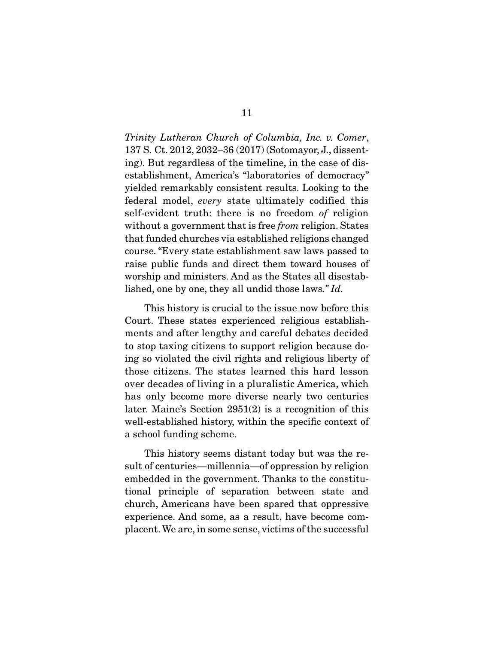Trinity Lutheran Church of Columbia, Inc. v. Comer, 137 S. Ct. 2012, 2032–36 (2017) (Sotomayor, J., dissenting). But regardless of the timeline, in the case of disestablishment, America's "laboratories of democracy" yielded remarkably consistent results. Looking to the federal model, every state ultimately codified this self-evident truth: there is no freedom of religion without a government that is free *from* religion. States that funded churches via established religions changed course. "Every state establishment saw laws passed to raise public funds and direct them toward houses of worship and ministers. And as the States all disestablished, one by one, they all undid those laws." Id.

 This history is crucial to the issue now before this Court. These states experienced religious establishments and after lengthy and careful debates decided to stop taxing citizens to support religion because doing so violated the civil rights and religious liberty of those citizens. The states learned this hard lesson over decades of living in a pluralistic America, which has only become more diverse nearly two centuries later. Maine's Section 2951(2) is a recognition of this well-established history, within the specific context of a school funding scheme.

 This history seems distant today but was the result of centuries—millennia—of oppression by religion embedded in the government. Thanks to the constitutional principle of separation between state and church, Americans have been spared that oppressive experience. And some, as a result, have become complacent. We are, in some sense, victims of the successful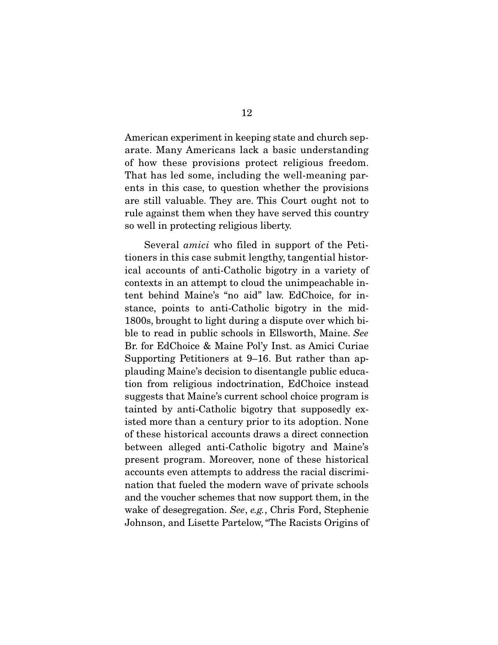American experiment in keeping state and church separate. Many Americans lack a basic understanding of how these provisions protect religious freedom. That has led some, including the well-meaning parents in this case, to question whether the provisions are still valuable. They are. This Court ought not to rule against them when they have served this country so well in protecting religious liberty.

 Several amici who filed in support of the Petitioners in this case submit lengthy, tangential historical accounts of anti-Catholic bigotry in a variety of contexts in an attempt to cloud the unimpeachable intent behind Maine's "no aid" law. EdChoice, for instance, points to anti-Catholic bigotry in the mid-1800s, brought to light during a dispute over which bible to read in public schools in Ellsworth, Maine. See Br. for EdChoice & Maine Pol'y Inst. as Amici Curiae Supporting Petitioners at 9–16. But rather than applauding Maine's decision to disentangle public education from religious indoctrination, EdChoice instead suggests that Maine's current school choice program is tainted by anti-Catholic bigotry that supposedly existed more than a century prior to its adoption. None of these historical accounts draws a direct connection between alleged anti-Catholic bigotry and Maine's present program. Moreover, none of these historical accounts even attempts to address the racial discrimination that fueled the modern wave of private schools and the voucher schemes that now support them, in the wake of desegregation. See, e.g., Chris Ford, Stephenie Johnson, and Lisette Partelow, "The Racists Origins of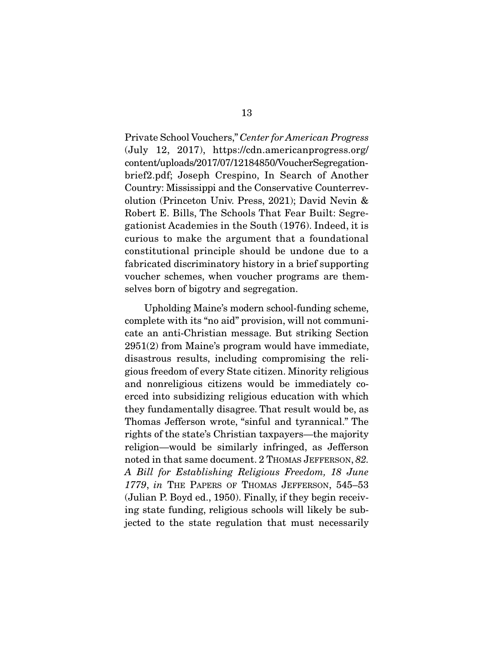Private School Vouchers," Center for American Progress (July 12, 2017), https://cdn.americanprogress.org/ content/uploads/2017/07/12184850/VoucherSegregationbrief2.pdf; Joseph Crespino, In Search of Another Country: Mississippi and the Conservative Counterrevolution (Princeton Univ. Press, 2021); David Nevin & Robert E. Bills, The Schools That Fear Built: Segregationist Academies in the South (1976). Indeed, it is curious to make the argument that a foundational constitutional principle should be undone due to a fabricated discriminatory history in a brief supporting voucher schemes, when voucher programs are themselves born of bigotry and segregation.

 Upholding Maine's modern school-funding scheme, complete with its "no aid" provision, will not communicate an anti-Christian message. But striking Section 2951(2) from Maine's program would have immediate, disastrous results, including compromising the religious freedom of every State citizen. Minority religious and nonreligious citizens would be immediately coerced into subsidizing religious education with which they fundamentally disagree. That result would be, as Thomas Jefferson wrote, "sinful and tyrannical." The rights of the state's Christian taxpayers—the majority religion—would be similarly infringed, as Jefferson noted in that same document. 2 THOMAS JEFFERSON, 82. A Bill for Establishing Religious Freedom, 18 June 1779, in THE PAPERS OF THOMAS JEFFERSON, 545–53 (Julian P. Boyd ed., 1950). Finally, if they begin receiving state funding, religious schools will likely be subjected to the state regulation that must necessarily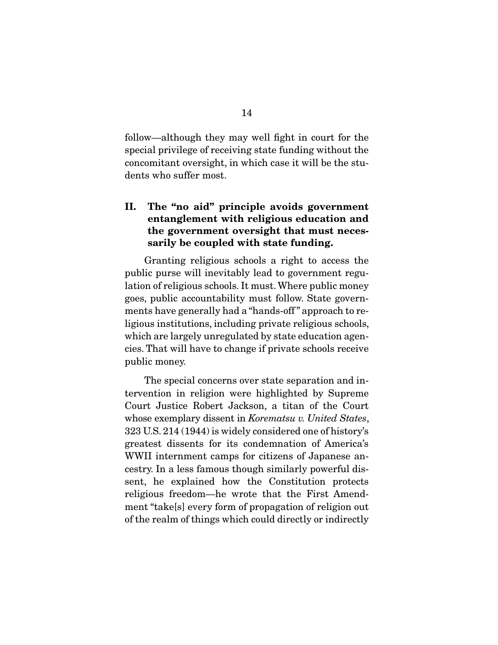follow—although they may well fight in court for the special privilege of receiving state funding without the concomitant oversight, in which case it will be the students who suffer most.

### **II. The "no aid" principle avoids government entanglement with religious education and the government oversight that must necessarily be coupled with state funding.**

 Granting religious schools a right to access the public purse will inevitably lead to government regulation of religious schools. It must. Where public money goes, public accountability must follow. State governments have generally had a "hands-off " approach to religious institutions, including private religious schools, which are largely unregulated by state education agencies. That will have to change if private schools receive public money.

 The special concerns over state separation and intervention in religion were highlighted by Supreme Court Justice Robert Jackson, a titan of the Court whose exemplary dissent in Korematsu v. United States, 323 U.S. 214 (1944) is widely considered one of history's greatest dissents for its condemnation of America's WWII internment camps for citizens of Japanese ancestry. In a less famous though similarly powerful dissent, he explained how the Constitution protects religious freedom—he wrote that the First Amendment "take[s] every form of propagation of religion out of the realm of things which could directly or indirectly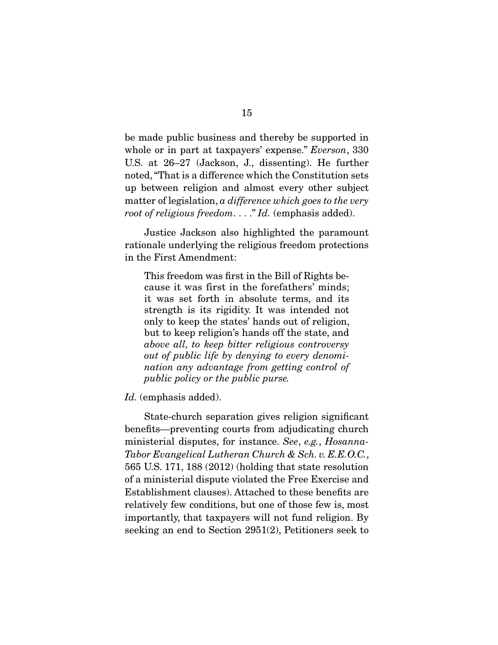be made public business and thereby be supported in whole or in part at taxpayers' expense." *Everson*, 330 U.S. at 26–27 (Jackson, J., dissenting). He further noted, "That is a difference which the Constitution sets up between religion and almost every other subject matter of legislation, a difference which goes to the very root of religious freedom...." Id. (emphasis added).

 Justice Jackson also highlighted the paramount rationale underlying the religious freedom protections in the First Amendment:

This freedom was first in the Bill of Rights because it was first in the forefathers' minds; it was set forth in absolute terms, and its strength is its rigidity. It was intended not only to keep the states' hands out of religion, but to keep religion's hands off the state, and above all, to keep bitter religious controversy out of public life by denying to every denomination any advantage from getting control of public policy or the public purse.

Id. (emphasis added).

 State-church separation gives religion significant benefits—preventing courts from adjudicating church ministerial disputes, for instance. See, e.g., Hosanna-Tabor Evangelical Lutheran Church & Sch. v. E.E.O.C., 565 U.S. 171, 188 (2012) (holding that state resolution of a ministerial dispute violated the Free Exercise and Establishment clauses). Attached to these benefits are relatively few conditions, but one of those few is, most importantly, that taxpayers will not fund religion. By seeking an end to Section 2951(2), Petitioners seek to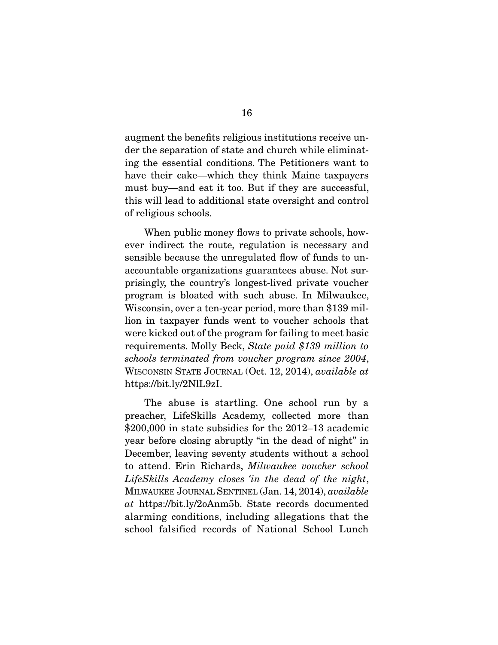augment the benefits religious institutions receive under the separation of state and church while eliminating the essential conditions. The Petitioners want to have their cake—which they think Maine taxpayers must buy—and eat it too. But if they are successful, this will lead to additional state oversight and control of religious schools.

 When public money flows to private schools, however indirect the route, regulation is necessary and sensible because the unregulated flow of funds to unaccountable organizations guarantees abuse. Not surprisingly, the country's longest-lived private voucher program is bloated with such abuse. In Milwaukee, Wisconsin, over a ten-year period, more than \$139 million in taxpayer funds went to voucher schools that were kicked out of the program for failing to meet basic requirements. Molly Beck, State paid \$139 million to schools terminated from voucher program since 2004, WISCONSIN STATE JOURNAL (Oct. 12, 2014), available at https://bit.ly/2NlL9zI.

 The abuse is startling. One school run by a preacher, LifeSkills Academy, collected more than \$200,000 in state subsidies for the 2012–13 academic year before closing abruptly "in the dead of night" in December, leaving seventy students without a school to attend. Erin Richards, Milwaukee voucher school LifeSkills Academy closes 'in the dead of the night, MILWAUKEE JOURNAL SENTINEL (Jan. 14, 2014), available at https://bit.ly/2oAnm5b. State records documented alarming conditions, including allegations that the school falsified records of National School Lunch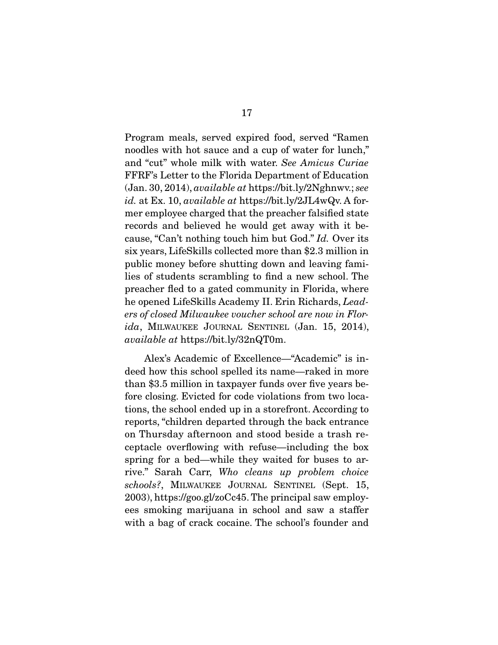Program meals, served expired food, served "Ramen noodles with hot sauce and a cup of water for lunch," and "cut" whole milk with water. See Amicus Curiae FFRF's Letter to the Florida Department of Education (Jan. 30, 2014), available at https://bit.ly/2Nghnwv.; see id. at Ex. 10, *available at* https://bit.ly/2JL4wQv. A former employee charged that the preacher falsified state records and believed he would get away with it because, "Can't nothing touch him but God." Id. Over its six years, LifeSkills collected more than \$2.3 million in public money before shutting down and leaving families of students scrambling to find a new school. The preacher fled to a gated community in Florida, where he opened LifeSkills Academy II. Erin Richards, Leaders of closed Milwaukee voucher school are now in Flor $ida$ , MILWAUKEE JOURNAL SENTINEL (Jan. 15, 2014), available at https://bit.ly/32nQT0m.

 Alex's Academic of Excellence—"Academic" is indeed how this school spelled its name—raked in more than \$3.5 million in taxpayer funds over five years before closing. Evicted for code violations from two locations, the school ended up in a storefront. According to reports, "children departed through the back entrance on Thursday afternoon and stood beside a trash receptacle overflowing with refuse—including the box spring for a bed—while they waited for buses to arrive." Sarah Carr, Who cleans up problem choice schools?, MILWAUKEE JOURNAL SENTINEL (Sept. 15, 2003), https://goo.gl/zoCc45. The principal saw employees smoking marijuana in school and saw a staffer with a bag of crack cocaine. The school's founder and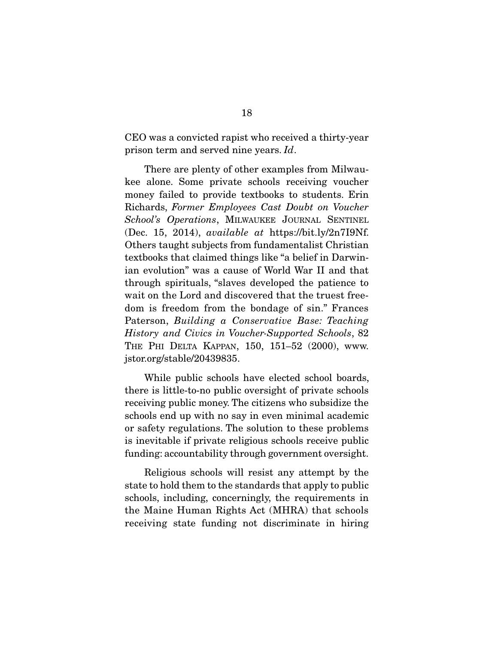CEO was a convicted rapist who received a thirty-year prison term and served nine years. Id.

 There are plenty of other examples from Milwaukee alone. Some private schools receiving voucher money failed to provide textbooks to students. Erin Richards, Former Employees Cast Doubt on Voucher School's Operations, MILWAUKEE JOURNAL SENTINEL (Dec. 15, 2014), available at https://bit.ly/2n7I9Nf. Others taught subjects from fundamentalist Christian textbooks that claimed things like "a belief in Darwinian evolution" was a cause of World War II and that through spirituals, "slaves developed the patience to wait on the Lord and discovered that the truest freedom is freedom from the bondage of sin." Frances Paterson, Building a Conservative Base: Teaching History and Civics in Voucher-Supported Schools, 82 THE PHI DELTA KAPPAN, 150, 151–52 (2000), www. jstor.org/stable/20439835.

 While public schools have elected school boards, there is little-to-no public oversight of private schools receiving public money. The citizens who subsidize the schools end up with no say in even minimal academic or safety regulations. The solution to these problems is inevitable if private religious schools receive public funding: accountability through government oversight.

 Religious schools will resist any attempt by the state to hold them to the standards that apply to public schools, including, concerningly, the requirements in the Maine Human Rights Act (MHRA) that schools receiving state funding not discriminate in hiring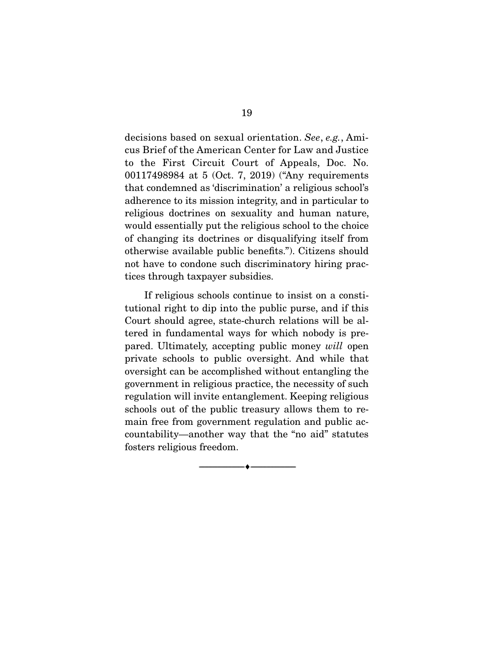decisions based on sexual orientation. See, e.g., Amicus Brief of the American Center for Law and Justice to the First Circuit Court of Appeals, Doc. No. 00117498984 at 5 (Oct. 7, 2019) ("Any requirements that condemned as 'discrimination' a religious school's adherence to its mission integrity, and in particular to religious doctrines on sexuality and human nature, would essentially put the religious school to the choice of changing its doctrines or disqualifying itself from otherwise available public benefits."). Citizens should not have to condone such discriminatory hiring practices through taxpayer subsidies.

 If religious schools continue to insist on a constitutional right to dip into the public purse, and if this Court should agree, state-church relations will be altered in fundamental ways for which nobody is prepared. Ultimately, accepting public money will open private schools to public oversight. And while that oversight can be accomplished without entangling the government in religious practice, the necessity of such regulation will invite entanglement. Keeping religious schools out of the public treasury allows them to remain free from government regulation and public accountability—another way that the "no aid" statutes fosters religious freedom.

--------------------------------- ♦ ---------------------------------